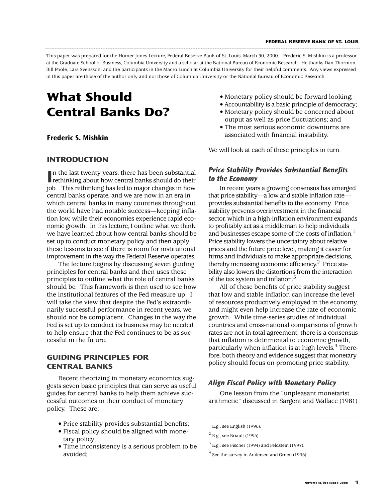This paper was prepared for the Homer Jones Lecture, Federal Reserve Bank of St. Louis, March 30, 2000. Frederic S. Mishkin is a professor at the Graduate School of Business, Columbia University and a scholar at the National Bureau of Economic Research. He thanks Dan Thornton, Bill Poole, Lars Svensson, and the participants in the Macro Lunch at Columbia University for their helpful comments. Any views expressed in this paper are those of the author only and not those of Columbia University or the National Bureau of Economic Research.

# **What Should Central Banks Do?**

## **Frederic S. Mishkin**

#### **INTRODUCTION**

**I**n the last twenty years, there has been substantial rethinking about how central banks should do their rethinking about how central banks should do their job. This rethinking has led to major changes in how central banks operate, and we are now in an era in which central banks in many countries throughout the world have had notable success—keeping inflation low, while their economies experience rapid economic growth. In this lecture, I outline what we think we have learned about how central banks should be set up to conduct monetary policy and then apply these lessons to see if there is room for institutional improvement in the way the Federal Reserve operates.

The lecture begins by discussing seven guiding principles for central banks and then uses these principles to outline what the role of central banks should be. This framework is then used to see how the institutional features of the Fed measure up. I will take the view that despite the Fed's extraordinarily successful performance in recent years, we should not be complacent. Changes in the way the Fed is set up to conduct its business may be needed to help ensure that the Fed continues to be as successful in the future.

## **GUIDING PRINCIPLES FOR CENTRAL BANKS**

Recent theorizing in monetary economics suggests seven basic principles that can serve as useful guides for central banks to help them achieve successful outcomes in their conduct of monetary policy. These are:

- Price stability provides substantial benefits;
- Fiscal policy should be aligned with monetary policy;
- Time inconsistency is a serious problem to be avoided;
- Monetary policy should be forward looking;
- Accountability is a basic principle of democracy;
- Monetary policy should be concerned about output as well as price fluctuations; and
- The most serious economic downturns are associated with financial instability.

We will look at each of these principles in turn.

## *Price Stability Provides Substantial Benefits to the Economy*

In recent years a growing consensus has emerged that price stability—a low and stable inflation rate provides substantial benefits to the economy. Price stability prevents overinvestment in the financial sector, which in a high-inflation environment expands to profitably act as a middleman to help individuals and businesses escape some of the costs of inflation.<sup>1</sup> Price stability lowers the uncertainty about relative prices and the future price level, making it easier for firms and individuals to make appropriate decisions, thereby increasing economic efficiency.<sup>2</sup> Price stability also lowers the distortions from the interaction of the tax system and inflation.<sup>3</sup>

All of these benefits of price stability suggest that low and stable inflation can increase the level of resources productively employed in the economy, and might even help increase the rate of economic growth. While time-series studies of individual countries and cross-national comparisons of growth rates are not in total agreement, there is a consensus that inflation is detrimental to economic growth, particularly when inflation is at high levels. $4$  Therefore, both theory and evidence suggest that monetary policy should focus on promoting price stability.

#### *Align Fiscal Policy with Monetary Policy*

One lesson from the "unpleasant monetarist arithmetic" discussed in Sargent and Wallace (1981)

 $<sup>1</sup>$  E.g., see English (1996).</sup>

 $2$  E.g., see Briault (1995).

 $3$  E.g., see Fischer (1994) and Feldstein (1997).

<sup>&</sup>lt;sup>4</sup> See the survey in Andersen and Gruen (1995).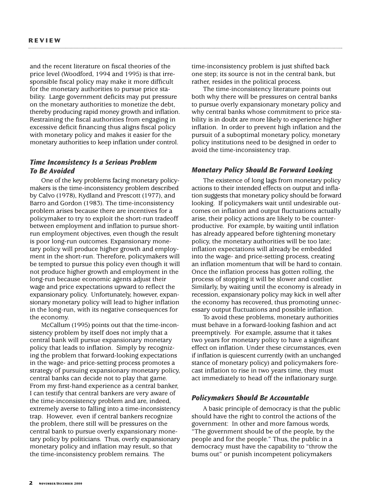and the recent literature on fiscal theories of the price level (Woodford, 1994 and 1995) is that irresponsible fiscal policy may make it more difficult for the monetary authorities to pursue price stability. Large government deficits may put pressure on the monetary authorities to monetize the debt, thereby producing rapid money growth and inflation. Restraining the fiscal authorities from engaging in excessive deficit financing thus aligns fiscal policy with monetary policy and makes it easier for the monetary authorities to keep inflation under control.

#### *Time Inconsistency Is a Serious Problem To Be Avoided*

One of the key problems facing monetary policymakers is the time-inconsistency problem described by Calvo (1978), Kydland and Prescott (1977), and Barro and Gordon (1983). The time-inconsistency problem arises because there are incentives for a policymaker to try to exploit the short-run tradeoff between employment and inflation to pursue shortrun employment objectives, even though the result is poor long-run outcomes. Expansionary monetary policy will produce higher growth and employment in the short-run. Therefore, policymakers will be tempted to pursue this policy even though it will not produce higher growth and employment in the long-run because economic agents adjust their wage and price expectations upward to reflect the expansionary policy. Unfortunately, however, expansionary monetary policy will lead to higher inflation in the long-run, with its negative consequences for the economy.

McCallum (1995) points out that the time-inconsistency problem by itself does not imply that a central bank will pursue expansionary monetary policy that leads to inflation. Simply by recognizing the problem that forward-looking expectations in the wage- and price-setting process promotes a strategy of pursuing expansionary monetary policy, central banks can decide not to play that game. From my first-hand experience as a central banker, I can testify that central bankers are very aware of the time-inconsistency problem and are, indeed, extremely averse to falling into a time-inconsistency trap. However, even if central bankers recognize the problem, there still will be pressures on the central bank to pursue overly expansionary monetary policy by politicians. Thus, overly expansionary monetary policy and inflation may result, so that the time-inconsistency problem remains. The

time-inconsistency problem is just shifted back one step; its source is not in the central bank, but rather, resides in the political process.

The time-inconsistency literature points out both why there will be pressures on central banks to pursue overly expansionary monetary policy and why central banks whose commitment to price stability is in doubt are more likely to experience higher inflation. In order to prevent high inflation and the pursuit of a suboptimal monetary policy, monetary policy institutions need to be designed in order to avoid the time-inconsistency trap.

#### *Monetary Policy Should Be Forward Looking*

The existence of long lags from monetary policy actions to their intended effects on output and inflation suggests that monetary policy should be forward looking. If policymakers wait until undesirable outcomes on inflation and output fluctuations actually arise, their policy actions are likely to be counterproductive. For example, by waiting until inflation has already appeared before tightening monetary policy, the monetary authorities will be too late; inflation expectations will already be embedded into the wage- and price-setting process, creating an inflation momentum that will be hard to contain. Once the inflation process has gotten rolling, the process of stopping it will be slower and costlier. Similarly, by waiting until the economy is already in recession, expansionary policy may kick in well after the economy has recovered, thus promoting unnecessary output fluctuations and possible inflation.

To avoid these problems, monetary authorities must behave in a forward-looking fashion and act preemptively. For example, assume that it takes two years for monetary policy to have a significant effect on inflation. Under these circumstances, even if inflation is quiescent currently (with an unchanged stance of monetary policy) and policymakers forecast inflation to rise in two years time, they must act immediately to head off the inflationary surge.

#### *Policymakers Should Be Accountable*

A basic principle of democracy is that the public should have the right to control the actions of the government: In other and more famous words, "The government should be of the people, by the people and for the people." Thus, the public in a democracy must have the capability to "throw the bums out" or punish incompetent policymakers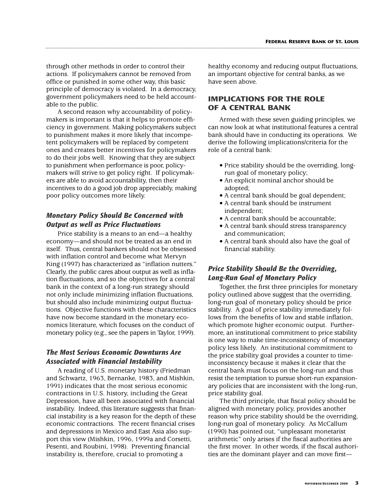through other methods in order to control their actions. If policymakers cannot be removed from office or punished in some other way, this basic principle of democracy is violated. In a democracy, government policymakers need to be held accountable to the public.

A second reason why accountability of policymakers is important is that it helps to promote efficiency in government. Making policymakers subject to punishment makes it more likely that incompetent policymakers will be replaced by competent ones and creates better incentives for policymakers to do their jobs well. Knowing that they are subject to punishment when performance is poor, policymakers will strive to get policy right. If policymakers are able to avoid accountability, then their incentives to do a good job drop appreciably, making poor policy outcomes more likely.

## *Monetary Policy Should Be Concerned with Output as well as Price Fluctuations*

Price stability is a means to an end—a healthy economy—and should not be treated as an end in itself. Thus, central bankers should not be obsessed with inflation control and become what Mervyn King (1997) has characterized as "inflation nutters." Clearly, the public cares about output as well as inflation fluctuations, and so the objectives for a central bank in the context of a long-run strategy should not only include minimizing inflation fluctuations, but should also include minimizing output fluctuations. Objective functions with these characteristics have now become standard in the monetary economics literature, which focuses on the conduct of monetary policy (e.g., see the papers in Taylor, 1999).

## *The Most Serious Economic Downturns Are Associated with Financial Instability*

A reading of U.S. monetary history (Friedman and Schwartz, 1963, Bernanke, 1983, and Mishkin, 1991) indicates that the most serious economic contractions in U.S. history, including the Great Depression, have all been associated with financial instability. Indeed, this literature suggests that financial instability is a key reason for the depth of these economic contractions. The recent financial crises and depressions in Mexico and East Asia also support this view (Mishkin, 1996, 1999a and Corsetti, Pesenti, and Roubini, 1998). Preventing financial instability is, therefore, crucial to promoting a

healthy economy and reducing output fluctuations, an important objective for central banks, as we have seen above.

# **IMPLICATIONS FOR THE ROLE OF A CENTRAL BANK**

Armed with these seven guiding principles, we can now look at what institutional features a central bank should have in conducting its operations. We derive the following implications/criteria for the role of a central bank:

- Price stability should be the overriding, longrun goal of monetary policy;
- An explicit nominal anchor should be adopted;
- A central bank should be goal dependent;
- A central bank should be instrument independent;
- A central bank should be accountable;
- A central bank should stress transparency and communication;
- A central bank should also have the goal of financial stability.

# *Price Stability Should Be the Overriding, Long-Run Goal of Monetary Policy*

Together, the first three principles for monetary policy outlined above suggest that the overriding, long-run goal of monetary policy should be price stability. A goal of price stability immediately follows from the benefits of low and stable inflation, which promote higher economic output. Furthermore, an institutional commitment to price stability is one way to make time-inconsistency of monetary policy less likely. An institutional commitment to the price stability goal provides a counter to timeinconsistency because it makes it clear that the central bank must focus on the long-run and thus resist the temptation to pursue short-run expansionary policies that are inconsistent with the long-run, price stability goal.

The third principle, that fiscal policy should be aligned with monetary policy, provides another reason why price stability should be the overriding, long-run goal of monetary policy. As McCallum (1990) has pointed out, "unpleasant monetarist arithmetic" only arises if the fiscal authorities are the first mover. In other words, if the fiscal authorities are the dominant player and can move first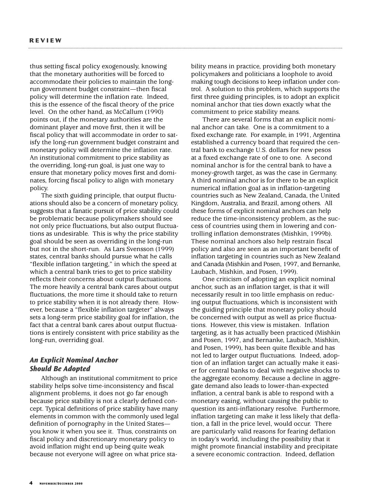thus setting fiscal policy exogenously, knowing that the monetary authorities will be forced to accommodate their policies to maintain the longrun government budget constraint—then fiscal policy will determine the inflation rate. Indeed, this is the essence of the fiscal theory of the price level. On the other hand, as McCallum (1990) points out, if the monetary authorities are the dominant player and move first, then it will be fiscal policy that will accommodate in order to satisfy the long-run government budget constraint and monetary policy will determine the inflation rate. An institutional commitment to price stability as the overriding, long-run goal, is just one way to ensure that monetary policy moves first and dominates, forcing fiscal policy to align with monetary policy.

The sixth guiding principle, that output fluctuations should also be a concern of monetary policy, suggests that a fanatic pursuit of price stability could be problematic because policymakers should see not only price fluctuations, but also output fluctuations as undesirable. This is why the price stability goal should be seen as overriding in the long-run but not in the short-run. As Lars Svensson (1999) states, central banks should pursue what he calls "flexible inflation targeting," in which the speed at which a central bank tries to get to price stability reflects their concerns about output fluctuations. The more heavily a central bank cares about output fluctuations, the more time it should take to return to price stability when it is not already there. However, because a "flexible inflation targeter" always sets a long-term price stability goal for inflation, the fact that a central bank cares about output fluctuations is entirely consistent with price stability as the long-run, overriding goal.

## *An Explicit Nominal Anchor Should Be Adopted*

Although an institutional commitment to price stability helps solve time-inconsistency and fiscal alignment problems, it does not go far enough because price stability is not a clearly defined concept. Typical definitions of price stability have many elements in common with the commonly used legal definition of pornography in the United States you know it when you see it. Thus, constraints on fiscal policy and discretionary monetary policy to avoid inflation might end up being quite weak because not everyone will agree on what price stability means in practice, providing both monetary policymakers and politicians a loophole to avoid making tough decisions to keep inflation under control. A solution to this problem, which supports the first three guiding principles, is to adopt an explicit nominal anchor that ties down exactly what the commitment to price stability means.

There are several forms that an explicit nominal anchor can take. One is a commitment to a fixed exchange rate. For example, in 1991, Argentina established a currency board that required the central bank to exchange U.S. dollars for new pesos at a fixed exchange rate of one to one. A second nominal anchor is for the central bank to have a money-growth target, as was the case in Germany. A third nominal anchor is for there to be an explicit numerical inflation goal as in inflation-targeting countries such as New Zealand, Canada, the United Kingdom, Australia, and Brazil, among others. All these forms of explicit nominal anchors can help reduce the time-inconsistency problem, as the success of countries using them in lowering and controlling inflation demonstrates (Mishkin, 1999b). These nominal anchors also help restrain fiscal policy and also are seen as an important benefit of inflation targeting in countries such as New Zealand and Canada (Mishkin and Posen, 1997, and Bernanke, Laubach, Mishkin, and Posen, 1999).

One criticism of adopting an explicit nominal anchor, such as an inflation target, is that it will necessarily result in too little emphasis on reducing output fluctuations, which is inconsistent with the guiding principle that monetary policy should be concerned with output as well as price fluctuations. However, this view is mistaken. Inflation targeting, as it has actually been practiced (Mishkin and Posen, 1997, and Bernanke, Laubach, Mishkin, and Posen, 1999), has been quite flexible and has not led to larger output fluctuations. Indeed, adoption of an inflation target can actually make it easier for central banks to deal with negative shocks to the aggregate economy. Because a decline in aggregate demand also leads to lower-than-expected inflation, a central bank is able to respond with a monetary easing, without causing the public to question its anti-inflationary resolve. Furthermore, inflation targeting can make it less likely that deflation, a fall in the price level, would occur. There are particularly valid reasons for fearing deflation in today's world, including the possibility that it might promote financial instability and precipitate a severe economic contraction. Indeed, deflation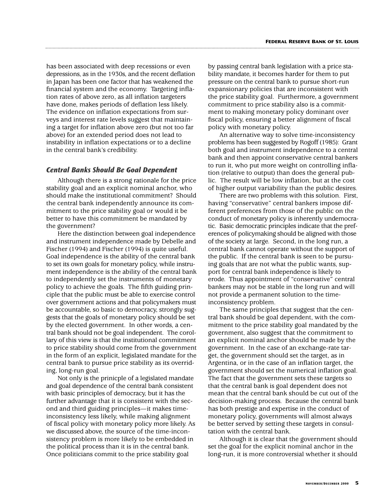has been associated with deep recessions or even depressions, as in the 1930s, and the recent deflation in Japan has been one factor that has weakened the financial system and the economy. Targeting inflation rates of above zero, as all inflation targeters have done, makes periods of deflation less likely. The evidence on inflation expectations from surveys and interest rate levels suggest that maintaining a target for inflation above zero (but not too far above) for an extended period does not lead to instability in inflation expectations or to a decline in the central bank's credibility.

#### *Central Banks Should Be Goal Dependent*

Although there is a strong rationale for the price stability goal and an explicit nominal anchor, who should make the institutional commitment? Should the central bank independently announce its commitment to the price stability goal or would it be better to have this commitment be mandated by the government?

Here the distinction between goal independence and instrument independence made by Debelle and Fischer (1994) and Fischer (1994) is quite useful. Goal independence is the ability of the central bank to set its own goals for monetary policy, while instrument independence is the ability of the central bank to independently set the instruments of monetary policy to achieve the goals. The fifth guiding principle that the public must be able to exercise control over government actions and that policymakers must be accountable, so basic to democracy, strongly suggests that the goals of monetary policy should be set by the elected government. In other words, a central bank should not be goal independent. The corollary of this view is that the institutional commitment to price stability should come from the government in the form of an explicit, legislated mandate for the central bank to pursue price stability as its overriding, long-run goal.

Not only is the prinicple of a legislated mandate and goal dependence of the central bank consistent with basic principles of democracy, but it has the further advantage that it is consistent with the second and third guiding principles—it makes timeinconsistency less likely, while making alignment of fiscal policy with monetary policy more likely. As we discussed above, the source of the time-inconsistency problem is more likely to be embedded in the political process than it is in the central bank. Once politicians commit to the price stability goal

by passing central bank legislation with a price stability mandate, it becomes harder for them to put pressure on the central bank to pursue short-run expansionary policies that are inconsistent with the price stability goal. Furthermore, a government commitment to price stability also is a commitment to making monetary policy dominant over fiscal policy, ensuring a better alignment of fiscal policy with monetary policy.

An alternative way to solve time-inconsistency problems has been suggested by Rogoff (1985): Grant both goal and instrument independence to a central bank and then appoint conservative central bankers to run it, who put more weight on controlling inflation (relative to output) than does the general public. The result will be low inflation, but at the cost of higher output variability than the public desires.

There are two problems with this solution. First, having "conservative" central bankers impose different preferences from those of the public on the conduct of monetary policy is inherently undemocratic. Basic democratic principles indicate that the preferences of policymaking should be aligned with those of the society at large. Second, in the long run, a central bank cannot operate without the support of the public. If the central bank is seen to be pursuing goals that are not what the public wants, support for central bank independence is likely to erode. Thus appointment of "conservative" central bankers may not be stable in the long run and will not provide a permanent solution to the timeinconsistency problem.

The same principles that suggest that the central bank should be goal dependent, with the commitment to the price stability goal mandated by the government, also suggest that the commitment to an explicit nominal anchor should be made by the government. In the case of an exchange-rate target, the government should set the target, as in Argentina, or in the case of an inflation target, the government should set the numerical inflation goal. The fact that the government sets these targets so that the central bank is goal dependent does not mean that the central bank should be cut out of the decision-making process. Because the central bank has both prestige and expertise in the conduct of monetary policy, governments will almost always be better served by setting these targets in consultation with the central bank.

Although it is clear that the government should set the goal for the explicit nominal anchor in the long-run, it is more controversial whether it should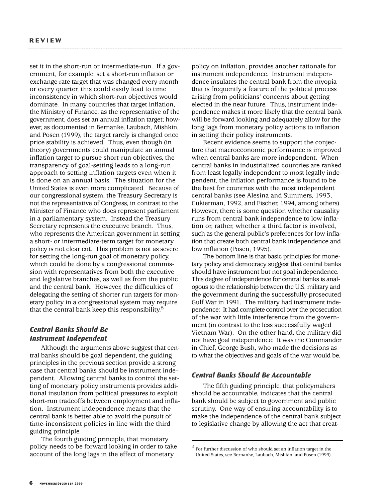set it in the short-run or intermediate-run. If a government, for example, set a short-run inflation or exchange rate target that was changed every month or every quarter, this could easily lead to time inconsistency in which short-run objectives would dominate. In many countries that target inflation, the Ministry of Finance, as the representative of the government, does set an annual inflation target; however, as documented in Bernanke, Laubach, Mishkin, and Posen (1999), the target rarely is changed once price stability is achieved. Thus, even though (in theory) governments could manipulate an annual inflation target to pursue short-run objectives, the transparency of goal-setting leads to a long-run approach to setting inflation targets even when it is done on an annual basis. The situation for the United States is even more complicated. Because of our congressional system, the Treasury Secretary is not the representative of Congress, in contrast to the Minister of Finance who does represent parliament in a parliamentary system. Instead the Treasury Secretary represents the executive branch. Thus, who represents the American government in setting a short- or intermediate-term target for monetary policy is not clear cut. This problem is not as severe for setting the long-run goal of monetary policy, which could be done by a congressional commission with representatives from both the executive and legislative branches, as well as from the public and the central bank. However, the difficulties of delegating the setting of shorter run targets for monetary policy in a congressional system may require that the central bank keep this responsibility.<sup>5</sup>

#### *Central Banks Should Be Instrument Independent*

Although the arguments above suggest that central banks should be goal dependent, the guiding principles in the previous section provide a strong case that central banks should be instrument independent. Allowing central banks to control the setting of monetary policy instruments provides additional insulation from political pressures to exploit short-run tradeoffs between employment and inflation. Instrument independence means that the central bank is better able to avoid the pursuit of time-inconsistent policies in line with the third guiding principle.

The fourth guiding principle, that monetary policy needs to be forward looking in order to take account of the long lags in the effect of monetary

policy on inflation, provides another rationale for instrument independence. Instrument independence insulates the central bank from the myopia that is frequently a feature of the political process arising from politicians' concerns about getting elected in the near future. Thus, instrument independence makes it more likely that the central bank will be forward looking and adequately allow for the long lags from monetary policy actions to inflation in setting their policy instruments.

Recent evidence seems to support the conjecture that macroeconomic performance is improved when central banks are more independent. When central banks in industrialized countries are ranked from least legally independent to most legally independent, the inflation performance is found to be the best for countries with the most independent central banks (see Alesina and Summers, 1993, Cukierman, 1992, and Fischer, 1994, among others). However, there is some question whether causality runs from central bank independence to low inflation or, rather, whether a third factor is involved, such as the general public's preferences for low inflation that create both central bank independence and low inflation (Posen, 1995).

The bottom line is that basic principles for monetary policy and democracy suggest that central banks should have instrument but not goal independence. This degree of independence for central banks is analogous to the relationship between the U.S. military and the government during the successfully prosecuted Gulf War in 1991. The military had instrument independence: It had complete control over the prosecution of the war with little interference from the government (in contrast to the less successfully waged Vietnam War). On the other hand, the military did not have goal independence: It was the Commander in Chief, George Bush, who made the decisions as to what the objectives and goals of the war would be.

#### *Central Banks Should Be Accountable*

The fifth guiding principle, that policymakers should be accountable, indicates that the central bank should be subject to government and public scrutiny. One way of ensuring accountability is to make the independence of the central bank subject to legislative change by allowing the act that creat-

 $5$  For further discussion of who should set an inflation target in the United States, see Bernanke, Laubach, Mishkin, and Posen (1999).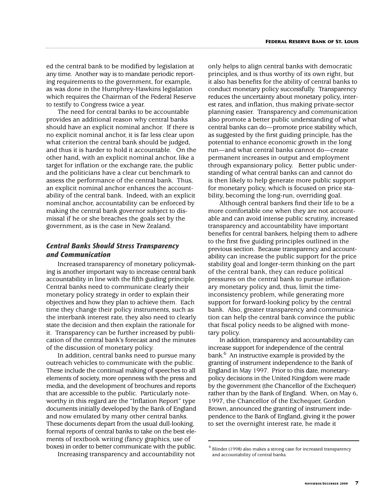ed the central bank to be modified by legislation at any time. Another way is to mandate periodic reporting requirements to the government, for example, as was done in the Humphrey-Hawkins legislation which requires the Chairman of the Federal Reserve to testify to Congress twice a year.

The need for central banks to be accountable provides an additional reason why central banks should have an explicit nominal anchor. If there is no explicit nominal anchor, it is far less clear upon what criterion the central bank should be judged, and thus it is harder to hold it accountable. On the other hand, with an explicit nominal anchor, like a target for inflation or the exchange rate, the public and the politicians have a clear cut benchmark to assess the performance of the central bank. Thus, an explicit nominal anchor enhances the accountability of the central bank. Indeed, with an explicit nominal anchor, accountability can be enforced by making the central bank governor subject to dismissal if he or she breaches the goals set by the government, as is the case in New Zealand.

## *Central Banks Should Stress Transparency and Communication*

Increased transparency of monetary policymaking is another important way to increase central bank accountability in line with the fifth guiding principle. Central banks need to communicate clearly their monetary policy strategy in order to explain their objectives and how they plan to achieve them. Each time they change their policy instruments, such as the interbank interest rate, they also need to clearly state the decision and then explain the rationale for it. Transparency can be further increased by publication of the central bank's forecast and the minutes of the discussion of monetary policy.

In addition, central banks need to pursue many outreach vehicles to communicate with the public. These include the continual making of speeches to all elements of society, more openness with the press and media, and the development of brochures and reports that are accessible to the public. Particularly noteworthy in this regard are the "Inflation Report" type documents initially developed by the Bank of England and now emulated by many other central banks. These documents depart from the usual dull-looking, formal reports of central banks to take on the best elements of textbook writing (fancy graphics, use of boxes) in order to better communicate with the public.

Increasing transparency and accountability not

only helps to align central banks with democratic principles, and is thus worthy of its own right, but it also has benefits for the ability of central banks to conduct monetary policy successfully. Transparency reduces the uncertainty about monetary policy, interest rates, and inflation, thus making private-sector planning easier. Transparency and communication also promote a better public understanding of what central banks can do—promote price stability which, as suggested by the first guiding principle, has the potential to enhance economic growth in the long run—and what central banks cannot do—create permanent increases in output and employment through expansionary policy. Better public understanding of what central banks can and cannot do is then likely to help generate more public support for monetary policy, which is focused on price stability, becoming the long-run, overriding goal.

Although central bankers find their life to be a more comfortable one when they are not accountable and can avoid intense public scrutiny, increased transparency and accountability have important benefits for central bankers, helping them to adhere to the first five guiding principles outlined in the previous section. Because transparency and accountability can increase the public support for the price stability goal and longer-term thinking on the part of the central bank, they can reduce political pressures on the central bank to pursue inflationary monetary policy and, thus, limit the timeinconsistency problem, while generating more support for forward-looking policy by the central bank. Also, greater transparency and communication can help the central bank convince the public that fiscal policy needs to be aligned with monetary policy.

In addition, transparency and accountability can increase support for independence of the central bank.<sup>6</sup> An instructive example is provided by the granting of instrument independence to the Bank of England in May 1997. Prior to this date, monetarypolicy decisions in the United Kingdom were made by the government (the Chancellor of the Exchequer) rather than by the Bank of England. When, on May 6, 1997, the Chancellor of the Exchequer, Gordon Brown, announced the granting of instrument independence to the Bank of England, giving it the power to set the overnight interest rate, he made it

 $<sup>6</sup>$  Blinder (1998) also makes a strong case for increased transparency</sup> and accountability of central banks.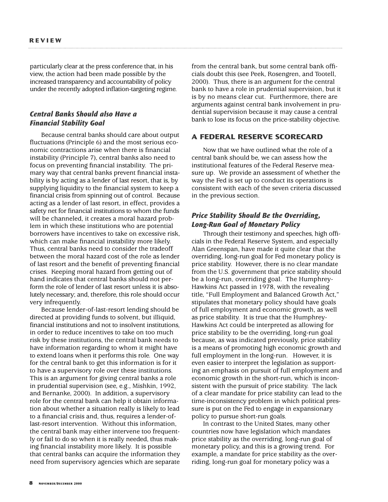particularly clear at the press conference that, in his view, the action had been made possible by the increased transparency and accountability of policy under the recently adopted inflation-targeting regime.

# *Central Banks Should also Have a Financial Stability Goal*

Because central banks should care about output fluctuations (Principle 6) and the most serious economic contractions arise when there is financial instability (Principle 7), central banks also need to focus on preventing financial instability. The primary way that central banks prevent financial instability is by acting as a lender of last resort, that is, by supplying liquidity to the financial system to keep a financial crisis from spinning out of control. Because acting as a lender of last resort, in effect, provides a safety net for financial institutions to whom the funds will be channeled, it creates a moral hazard problem in which these institutions who are potential borrowers have incentives to take on excessive risk, which can make financial instability more likely. Thus, central banks need to consider the tradeoff between the moral hazard cost of the role as lender of last resort and the benefit of preventing financial crises. Keeping moral hazard from getting out of hand indicates that central banks should not perform the role of lender of last resort unless it is absolutely necessary; and, therefore, this role should occur very infrequently.

Because lender-of-last-resort lending should be directed at providing funds to solvent, but illiquid, financial institutions and not to insolvent institutions, in order to reduce incentives to take on too much risk by these institutions, the central bank needs to have information regarding to whom it might have to extend loans when it performs this role. One way for the central bank to get this information is for it to have a supervisory role over these institutions. This is an argument for giving central banks a role in prudential supervision (see, e.g., Mishkin, 1992, and Bernanke, 2000). In addition, a supervisory role for the central bank can help it obtain information about whether a situation really is likely to lead to a financial crisis and, thus, requires a lender-oflast-resort intervention. Without this information, the central bank may either intervene too frequently or fail to do so when it is really needed, thus making financial instability more likely. It is possible that central banks can acquire the information they need from supervisory agencies which are separate from the central bank, but some central bank officials doubt this (see Peek, Rosengren, and Tootell, 2000). Thus, there is an argument for the central bank to have a role in prudential supervision, but it is by no means clear cut. Furthermore, there are arguments against central bank involvement in prudential supervision because it may cause a central bank to lose its focus on the price-stability objective.

## **A FEDERAL RESERVE SCORECARD**

Now that we have outlined what the role of a central bank should be, we can assess how the institutional features of the Federal Reserve measure up. We provide an assessment of whether the way the Fed is set up to conduct its operations is consistent with each of the seven criteria discussed in the previous section.

#### *Price Stability Should Be the Overriding, Long-Run Goal of Monetary Policy*

Through their testimony and speeches, high officials in the Federal Reserve System, and especially Alan Greenspan, have made it quite clear that the overriding, long-run goal for Fed monetary policy is price stability. However, there is no clear mandate from the U.S. government that price stability should be a long-run, overriding goal. The Humphrey-Hawkins Act passed in 1978, with the revealing title, "Full Employment and Balanced Growth Act," stipulates that monetary policy should have goals of full employment and economic growth, as well as price stability. It is true that the Humphrey-Hawkins Act could be interpreted as allowing for price stability to be the overriding, long-run goal because, as was indicated previously, price stability is a means of promoting high economic growth and full employment in the long-run. However, it is even easier to interpret the legislation as supporting an emphasis on pursuit of full employment and economic growth in the short-run, which is inconsistent with the pursuit of price stability. The lack of a clear mandate for price stability can lead to the time-inconsistency problem in which political pressure is put on the Fed to engage in expansionary policy to pursue short-run goals.

In contrast to the United States, many other countries now have legislation which mandates price stability as the overriding, long-run goal of monetary policy, and this is a growing trend. For example, a mandate for price stability as the overriding, long-run goal for monetary policy was a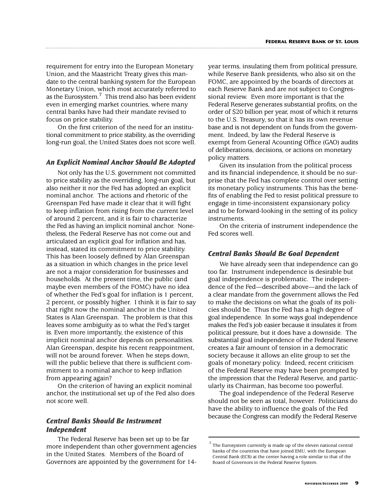requirement for entry into the European Monetary Union, and the Maastricht Treaty gives this mandate to the central banking system for the European Monetary Union, which most accurately referred to as the Eurosystem.<sup>7</sup> This trend also has been evident even in emerging market countries, where many central banks have had their mandate revised to focus on price stability.

On the first criterion of the need for an institutional commitment to price stability, as the overriding long-run goal, the United States does not score well.

#### *An Explicit Nominal Anchor Should Be Adopted*

Not only has the U.S. government not committed to price stability as the overriding, long-run goal, but also neither it nor the Fed has adopted an explicit nominal anchor. The actions and rhetoric of the Greenspan Fed have made it clear that it will fight to keep inflation from rising from the current level of around 2 percent, and it is fair to characterize the Fed as having an implicit nominal anchor. Nonetheless, the Federal Reserve has not come out and articulated an explicit goal for inflation and has, instead, stated its commitment to price stability. This has been loosely defined by Alan Greenspan as a situation in which changes in the price level are not a major consideration for businesses and households. At the present time, the public (and maybe even members of the FOMC) have no idea of whether the Fed's goal for inflation is 1 percent, 2 percent, or possibly higher. I think it is fair to say that right now the nominal anchor in the United States is Alan Greenspan. The problem is that this leaves some ambiguity as to what the Fed's target is. Even more importantly, the existence of this implicit nominal anchor depends on personalities. Alan Greenspan, despite his recent reappointment, will not be around forever. When he steps down, will the public believe that there is sufficient commitment to a nominal anchor to keep inflation from appearing again?

On the criterion of having an explicit nominal anchor, the institutional set up of the Fed also does not score well.

#### *Central Banks Should Be Instrument Independent*

The Federal Reserve has been set up to be far more independent than other government agencies in the United States. Members of the Board of Governors are appointed by the government for 14year terms, insulating them from political pressure, while Reserve Bank presidents, who also sit on the FOMC, are appointed by the boards of directors at each Reserve Bank and are not subject to Congressional review. Even more important is that the Federal Reserve generates substantial profits, on the order of \$20 billion per year, most of which it returns to the U.S. Treasury, so that it has its own revenue base and is not dependent on funds from the government. Indeed, by law the Federal Reserve is exempt from General Acounting Office (GAO) audits of deliberations, decisions, or actions on monetary policy matters.

Given its insulation from the political process and its financial independence, it should be no surprise that the Fed has complete control over setting its monetary policy instruments. This has the benefits of enabling the Fed to resist political pressure to engage in time-inconsistent expansionary policy and to be forward-looking in the setting of its policy instruments.

On the criteria of instrument independence the Fed scores well.

#### *Central Banks Should Be Goal Dependent*

We have already seen that independence can go too far. Instrument independence is desirable but goal independence is problematic. The independence of the Fed—described above—and the lack of a clear mandate from the government allows the Fed to make the decisions on what the goals of its policies should be. Thus the Fed has a high degree of goal independence. In some ways goal independence makes the Fed's job easier because it insulates it from political pressure, but it does have a downside. The substantial goal independence of the Federal Reserve creates a fair amount of tension in a democratic society because it allows an elite group to set the goals of monetary policy. Indeed, recent criticism of the Federal Reserve may have been prompted by the impression that the Federal Reserve, and particularly its Chairman, has become too powerful.

The goal independence of the Federal Reserve should not be seen as total, however. Politicians do have the ability to influence the goals of the Fed because the Congress can modify the Federal Reserve

 $7$  The Eurosystem currently is made up of the eleven national central banks of the countries that have joined EMU, with the European Central Bank (ECB) at the center having a role similar to that of the Board of Governors in the Federal Reserve System.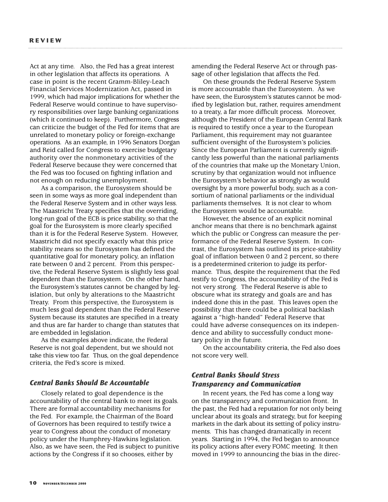Act at any time. Also, the Fed has a great interest in other legislation that affects its operations. A case in point is the recent Gramm-Bliley-Leach Financial Services Modernization Act, passed in 1999, which had major implications for whether the Federal Reserve would continue to have supervisory responsibilities over large banking organizations (which it continued to keep). Furthermore, Congress can criticize the budget of the Fed for items that are unrelated to monetary policy or foreign-exchange operations. As an example, in 1996 Senators Dorgan and Reid called for Congress to exercise budgetary authority over the nonmonetary activities of the Federal Reserve because they were concerned that the Fed was too focused on fighting inflation and not enough on reducing unemployment.

As a comparison, the Eurosystem should be seen in some ways as more goal independent than the Federal Reserve System and in other ways less. The Maastricht Treaty specifies that the overriding, long-run goal of the ECB is price stability, so that the goal for the Eurosystem is more clearly specified than it is for the Federal Reserve System. However, Maastricht did not specify exactly what this price stability means so the Eurosystem has defined the quantitative goal for monetary policy, an inflation rate between 0 and 2 percent. From this perspective, the Federal Reserve System is slightly less goal dependent than the Eurosystem. On the other hand, the Eurosystem's statutes cannot be changed by legislation, but only by alterations to the Maastricht Treaty. From this perspective, the Eurosystem is much less goal dependent than the Federal Reserve System because its statutes are specified in a treaty and thus are far harder to change than statutes that are embedded in legislation.

As the examples above indicate, the Federal Reserve is not goal dependent, but we should not take this view too far. Thus, on the goal dependence criteria, the Fed's score is mixed.

#### *Central Banks Should Be Accountable*

Closely related to goal dependence is the accountability of the central bank to meet its goals. There are formal accountability mechanisms for the Fed. For example, the Chairman of the Board of Governors has been required to testify twice a year to Congress about the conduct of monetary policy under the Humphrey-Hawkins legislation. Also, as we have seen, the Fed is subject to punitive actions by the Congress if it so chooses, either by

amending the Federal Reserve Act or through passage of other legislation that affects the Fed.

On these grounds the Federal Reserve System is more accountable than the Eurosystem. As we have seen, the Eurosystem's statutes cannot be modified by legislation but, rather, requires amendment to a treaty, a far more difficult process. Moreover, although the President of the European Central Bank is required to testify once a year to the European Parliament, this requirement may not guarantee sufficient oversight of the Eurosystem's policies. Since the European Parliament is currently significantly less powerful than the national parliaments of the countries that make up the Monetary Union, scrutiny by that organization would not influence the Eurosystem's behavior as strongly as would oversight by a more powerful body, such as a consortium of national parliaments or the individual parliaments themselves. It is not clear to whom the Eurosystem would be accountable.

However, the absence of an explicit nominal anchor means that there is no benchmark against which the public or Congress can measure the performance of the Federal Reserve System. In contrast, the Eurosystem has outlined its price-stability goal of inflation between 0 and 2 percent, so there is a predetermined criterion to judge its performance. Thus, despite the requirement that the Fed testify to Congress, the accountability of the Fed is not very strong. The Federal Reserve is able to obscure what its strategy and goals are and has indeed done this in the past. This leaves open the possibility that there could be a political backlash against a "high-handed" Federal Reserve that could have adverse consequences on its independence and ability to successfully conduct monetary policy in the future.

On the accountability criteria, the Fed also does not score very well.

## *Central Banks Should Stress Transparency and Communication*

In recent years, the Fed has come a long way on the transparency and communication front. In the past, the Fed had a reputation for not only being unclear about its goals and strategy, but for keeping markets in the dark about its setting of policy instruments. This has changed dramatically in recent years. Starting in 1994, the Fed began to announce its policy actions after every FOMC meeting. It then moved in 1999 to announcing the bias in the direc-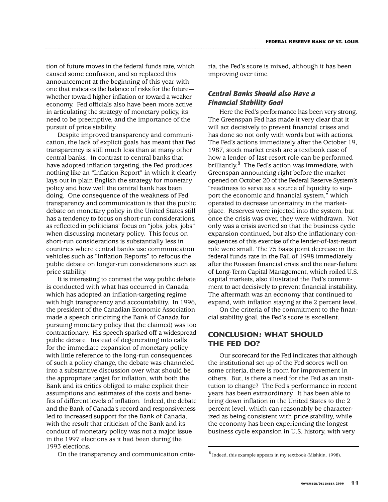tion of future moves in the federal funds rate, which caused some confusion, and so replaced this announcement at the beginning of this year with one that indicates the balance of risks for the future whether toward higher inflation or toward a weaker economy. Fed officials also have been more active in articulating the strategy of monetary policy, its need to be preemptive, and the importance of the pursuit of price stability.

Despite improved transparency and communication, the lack of explicit goals has meant that Fed transparency is still much less than at many other central banks. In contrast to central banks that have adopted inflation targeting, the Fed produces nothing like an "Inflation Report" in which it clearly lays out in plain English the strategy for monetary policy and how well the central bank has been doing. One consequence of the weakness of Fed transparency and communication is that the public debate on monetary policy in the United States still has a tendency to focus on short-run considerations, as reflected in politicians' focus on "jobs, jobs, jobs" when discussing monetary policy. This focus on short-run considerations is substantially less in countries where central banks use communication vehicles such as "Inflation Reports" to refocus the public debate on longer-run considerations such as price stability.

It is interesting to contrast the way public debate is conducted with what has occurred in Canada, which has adopted an inflation-targeting regime with high transparency and accountability. In 1996, the president of the Canadian Economic Association made a speech criticizing the Bank of Canada for pursuing monetary policy that (he claimed) was too contractionary. His speech sparked off a widespread public debate. Instead of degenerating into calls for the immediate expansion of monetary policy with little reference to the long-run consequences of such a policy change, the debate was channeled into a substantive discussion over what should be the appropriate target for inflation, with both the Bank and its critics obliged to make explicit their assumptions and estimates of the costs and benefits of different levels of inflation. Indeed, the debate and the Bank of Canada's record and responsiveness led to increased support for the Bank of Canada, with the result that criticism of the Bank and its conduct of monetary policy was not a major issue in the 1997 elections as it had been during the 1993 elections.

On the transparency and communication crite-

ria, the Fed's score is mixed, although it has been improving over time.

# *Central Banks Should also Have a Financial Stability Goal*

Here the Fed's performance has been very strong. The Greenspan Fed has made it very clear that it will act decisively to prevent financial crises and has done so not only with words but with actions. The Fed's actions immediately after the October 19, 1987, stock market crash are a textbook case of how a lender-of-last-resort role can be performed brilliantly.<sup>8</sup> The Fed's action was immediate, with Greenspan announcing right before the market opened on October 20 of the Federal Reserve System's "readiness to serve as a source of liquidity to support the economic and financial system," which operated to decrease uncertainty in the marketplace. Reserves were injected into the system, but once the crisis was over, they were withdrawn. Not only was a crisis averted so that the business cycle expansion continued, but also the inflationary consequences of this exercise of the lender-of-last-resort role were small. The 75 basis point decrease in the federal funds rate in the Fall of 1998 immediately after the Russian financial crisis and the near-failure of Long-Term Capital Management, which roiled U.S. capital markets, also illustrated the Fed's commitment to act decisively to prevent financial instability. The aftermath was an economy that continued to expand, with inflation staying at the 2 percent level.

On the criteria of the commitment to the financial stability goal, the Fed's score is excellent.

# **CONCLUSION: WHAT SHOULD THE FED DO?**

Our scorecard for the Fed indicates that although the institutional set up of the Fed scores well on some criteria, there is room for improvement in others. But, is there a need for the Fed as an institution to change? The Fed's performance in recent years has been extraordinary. It has been able to bring down inflation in the United States to the 2 percent level, which can reasonably be characterized as being consistent with price stability, while the economy has been experiencing the longest business cycle expansion in U.S. history, with very

<sup>&</sup>lt;sup>8</sup> Indeed, this example appears in my textbook (Mishkin, 1998).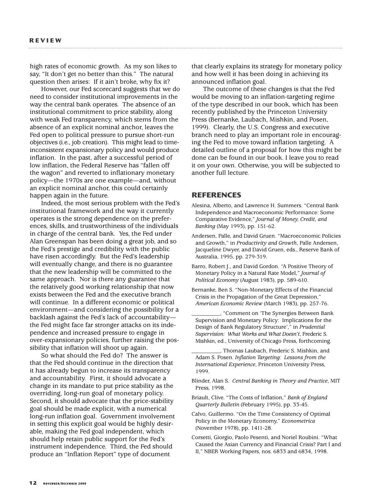high rates of economic growth. As my son likes to say, "It don't get no better than this." The natural question then arises: If it ain't broke, why fix it?

However, our Fed scorecard suggests that we do need to consider institutional improvements in the way the central bank operates. The absence of an institutional commitment to price stability, along with weak Fed transparency, which stems from the absence of an explicit nominal anchor, leaves the Fed open to political pressure to pursue short-run objectives (i.e., job creation). This might lead to timeinconsistent expansionary policy and would produce inflation. In the past, after a successful period of low inflation, the Federal Reserve has "fallen off the wagon" and reverted to inflationary monetary policy—the 1970s are one example—and, without an explicit nominal anchor, this could certainly happen again in the future.

Indeed, the most serious problem with the Fed's institutional framework and the way it currently operates is the strong dependence on the preferences, skills, and trustworthiness of the individuals in charge of the central bank. Yes, the Fed under Alan Greenspan has been doing a great job, and so the Fed's prestige and credibility with the public have risen accordingly. But the Fed's leadership will eventually change, and there is no guarantee that the new leadership will be committed to the same approach. Nor is there any guarantee that the relatively good working relationship that now exists between the Fed and the executive branch will continue. In a different economic or political environment—and considering the possibility for a backlash against the Fed's lack of accountability the Fed might face far stronger attacks on its independence and increased pressure to engage in over-expansionary policies, further raising the possibility that inflation will shoot up again.

So what should the Fed do? The answer is that the Fed should continue in the direction that it has already begun to increase its transparency and accountability. First, it should advocate a change in its mandate to put price stability as the overriding, long-run goal of monetary policy. Second, it should advocate that the price-stability goal should be made explicit, with a numerical long-run inflation goal. Government involvement in setting this explicit goal would be highly desirable, making the Fed goal independent, which should help retain public support for the Fed's instrument independence. Third, the Fed should produce an "Inflation Report" type of document

that clearly explains its strategy for monetary policy and how well it has been doing in achieving its announced inflation goal.

The outcome of these changes is that the Fed would be moving to an inflation-targeting regime of the type described in our book, which has been recently published by the Princeton University Press (Bernanke, Laubach, Mishkin, and Posen, 1999). Clearly, the U.S. Congress and executive branch need to play an important role in encouraging the Fed to move toward inflation targeting. A detailed outline of a proposal for how this might be done can be found in our book. I leave you to read it on your own. Otherwise, you will be subjected to another full lecture.

#### **REFERENCES**

- Alesina, Alberto, and Lawrence H. Summers. "Central Bank Independence and Macroeconomic Performance: Some Comparative Evidence," *Journal of Money, Credit, and Banking* (May 1993), pp. 151-62.
- Andersen, Palle, and David Gruen. "Macroeconomic Policies and Growth," in *Productivity and Growth*, Palle Andersen, Jacqueline Dwyer, and David Gruen, eds., Reserve Bank of Australia, 1995, pp. 279-319.
- Barro, Robert J., and David Gordon. "A Positive Theory of Monetary Policy in a Natural Rate Model," *Journal of Political Economy* (August 1983), pp. 589-610.
- Bernanke, Ben S. "Non-Monetary Effects of the Financial Crisis in the Propagation of the Great Depression," *American Economic Review* (March 1983), pp. 257-76.

\_\_\_\_\_\_\_\_\_\_, "Comment on 'The Synergies Between Bank Supervision and Monetary Policy: Implications for the Design of Bank Regulatory Structure'," in *Prudential Supervision: What Works and What Doesn't*, Frederic S. Mishkin, ed., University of Chicago Press, forthcoming.

\_\_\_\_\_\_\_\_\_\_, Thomas Laubach, Frederic S. Mishkin, and Adam S. Posen. *Inflation Targeting: Lessons from the International Experience*, Princeton University Press, 1999.

- Blinder, Alan S. *Central Banking in Theory and Practice*, MIT Press, 1998.
- Briault, Clive. "The Costs of Inflation," *Bank of England Quarterly Bulletin* (February 1995), pp. 33-45.
- Calvo, Guillermo. "On the Time Consistency of Optimal Policy in the Monetary Economy," *Econometrica* (November 1978), pp. 1411-28.
- Corsetti, Giorgio, Paolo Pesenti, and Noriel Roubini. "What Caused the Asian Currency and Financial Crisis? Part I and II," NBER Working Papers, nos. 6833 and 6834, 1998.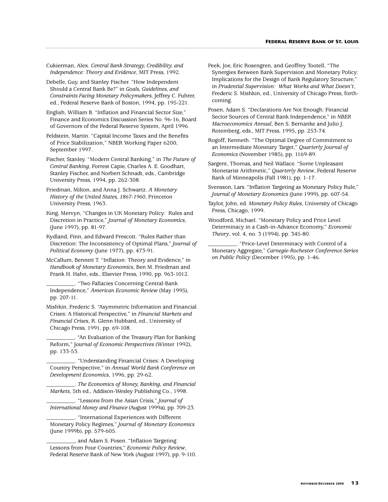Cukierman, Alex. *Central Bank Strategy, Credibility, and Independence: Theory and Evidence*, MIT Press, 1992.

Debelle, Guy, and Stanley Fischer. "How Independent Should a Central Bank Be?" in *Goals, Guidelines, and Constraints Facing Monetary Policymakers*, Jeffrey C. Fuhrer, ed., Federal Reserve Bank of Boston, 1994, pp. 195-221.

English, William B. "Inflation and Financial Sector Size," Finance and Economics Discussion Series No. 96-16, Board of Governors of the Federal Reserve System, April 1996.

Feldstein, Martin. "Capital Income Taxes and the Benefits of Price Stabilization," NBER Working Paper 6200, September 1997.

Fischer, Stanley. "Modern Central Banking," in *The Future of Central Banking*, Forrest Capie, Charles A. E. Goodhart, Stanley Fischer, and Norbert Schnadt, eds., Cambridge University Press, 1994, pp. 262-308.

Friedman, Milton, and Anna J. Schwartz. *A Monetary History of the United States, 1867-1960*, Princeton University Press, 1963.

King, Mervyn, "Changes in UK Monetary Policy: Rules and Discretion in Practice," *Journal of Monetary Economics*, (June 1997), pp. 81-97.

Kydland, Finn, and Edward Prescott. "Rules Rather than Discretion: The Inconsistency of Optimal Plans," *Journal of Political Economy* (June 1977), pp. 473-91.

McCallum, Bennett T. "Inflation: Theory and Evidence," in *Handbook of Monetary Economics*, Ben M. Friedman and Frank H. Hahn, eds., Elsevier Press, 1990, pp. 963-1012.

\_\_\_\_\_\_\_\_\_\_. "Two Fallacies Concerning Central-Bank Independence," *American Economic Review* (May 1995), pp. 207-11.

Mishkin, Frederic S. "Asymmetric Information and Financial Crises: A Historical Perspective," in *Financial Markets and Financial Crises*, R. Glenn Hubbard, ed., University of Chicago Press, 1991, pp. 69-108.

\_\_\_\_\_\_\_\_\_\_. "An Evaluation of the Treasury Plan for Banking Reform," J*ournal of Economic Perspectives* (Winter 1992), pp. 133-53.

\_\_\_\_\_\_\_\_\_\_. "Understanding Financial Crises: A Developing Country Perspective," in *Annual World Bank Conference on Development Economics*, 1996, pp. 29-62.

\_\_\_\_\_\_\_\_\_\_. *The Economics of Money, Banking, and Financial Markets*, 5th ed., Addison-Wesley Publishing Co., 1998.

\_\_\_\_\_\_\_\_\_\_. "Lessons from the Asian Crisis," *Journal of International Money and Finance* (August 1999a), pp. 709-23.

\_\_\_\_\_\_\_\_\_\_. "International Experiences with Different Monetary Policy Regimes," *Journal of Monetary Economics* (June 1999b), pp. 579-605.

\_\_\_\_\_\_\_\_\_\_, and Adam S. Posen. "Inflation Targeting: Lessons from Four Countries," *Economic Policy Review*, Federal Reserve Bank of New York (August 1997), pp. 9-110. Peek, Joe, Eric Rosengren, and Geoffrey Tootell, "The Synergies Between Bank Supervision and Monetary Policy: Implications for the Design of Bank Regulatory Structure," in *Prudential Supervision: What Works and What Doesn't*, Frederic S. Mishkin, ed., University of Chicago Press, forthcoming.

Posen, Adam S. "Declarations Are Not Enough: Financial Sector Sources of Central Bank Independence," in *NBER Macroeconomics Annual*, Ben S. Bernanke and Julio J. Rotemberg, eds., MIT Press, 1995, pp. 253-74.

Rogoff, Kenneth. "The Optimal Degree of Commitment to an Intermediate Monetary Target," *Quarterly Journal of Economics* (November 1985), pp. 1169-89.

Sargent, Thomas, and Neil Wallace. "Some Unpleasant Monetarist Arithmetic," *Quarterly Review*, Federal Reserve Bank of Minneapolis (Fall 1981), pp. 1-17.

Svensson, Lars. "Inflation Targeting as Monetary Policy Rule," *Journal of Monetary Economics* (June 1999), pp. 607-54.

Taylor, John, ed. *Monetary Policy Rules*, University of Chicago Press, Chicago, 1999.

Woodford, Michael. "Monetary Policy and Price Level Determinacy in a Cash-in-Advance Economy," *Economic Theory*, vol. 4, no. 3 (1994), pp. 345-80.

\_\_\_\_\_\_\_\_\_\_. "Price-Level Determinacy with Control of a Monetary Aggregate," *Carnegie-Rochester Conference Series on Public Policy* (December 1995), pp. 1-46.